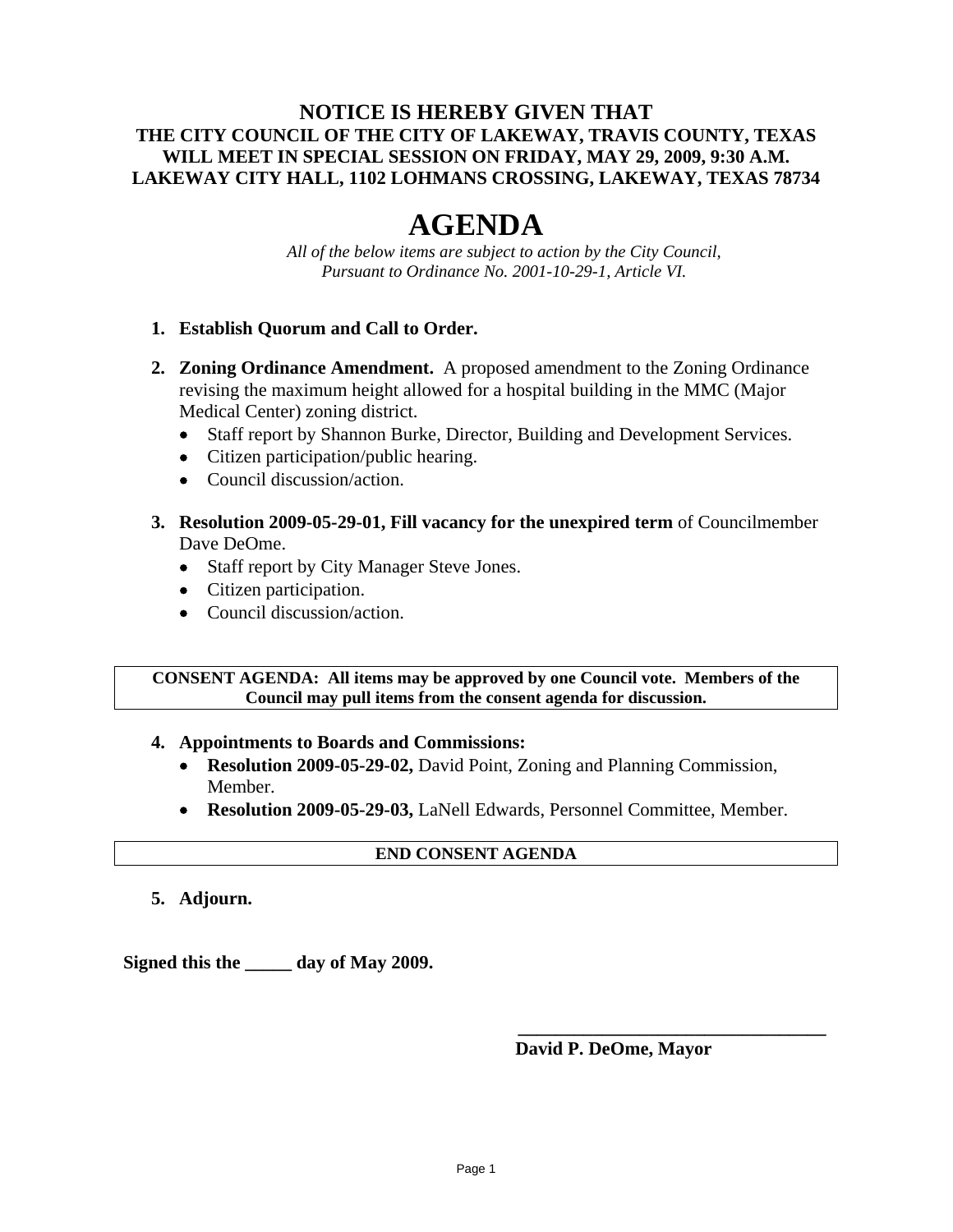## **NOTICE IS HEREBY GIVEN THAT THE CITY COUNCIL OF THE CITY OF LAKEWAY, TRAVIS COUNTY, TEXAS WILL MEET IN SPECIAL SESSION ON FRIDAY, MAY 29, 2009, 9:30 A.M. LAKEWAY CITY HALL, 1102 LOHMANS CROSSING, LAKEWAY, TEXAS 78734**

# **AGENDA**

*All of the below items are subject to action by the City Council, Pursuant to Ordinance No. 2001-10-29-1, Article VI.* 

## **1. Establish Quorum and Call to Order.**

- **2. Zoning Ordinance Amendment.** A proposed amendment to the Zoning Ordinance revising the maximum height allowed for a hospital building in the MMC (Major Medical Center) zoning district.
	- Staff report by Shannon Burke, Director, Building and Development Services.
	- Citizen participation/public hearing.
	- Council discussion/action.
- **3. Resolution 2009-05-29-01, Fill vacancy for the unexpired term** of Councilmember Dave DeOme.
	- Staff report by City Manager Steve Jones.
	- Citizen participation.
	- Council discussion/action.

#### **CONSENT AGENDA: All items may be approved by one Council vote. Members of the Council may pull items from the consent agenda for discussion.**

#### **4. Appointments to Boards and Commissions:**

- **Resolution 2009-05-29-02,** David Point, Zoning and Planning Commission, Member.
- **Resolution 2009-05-29-03,** LaNell Edwards, Personnel Committee, Member.

## **END CONSENT AGENDA**

**5. Adjourn.** 

**Signed this the \_\_\_\_\_ day of May 2009.** 

## **David P. DeOme, Mayor**

**\_\_\_\_\_\_\_\_\_\_\_\_\_\_\_\_\_\_\_\_\_\_\_\_\_\_\_\_\_\_\_\_\_**